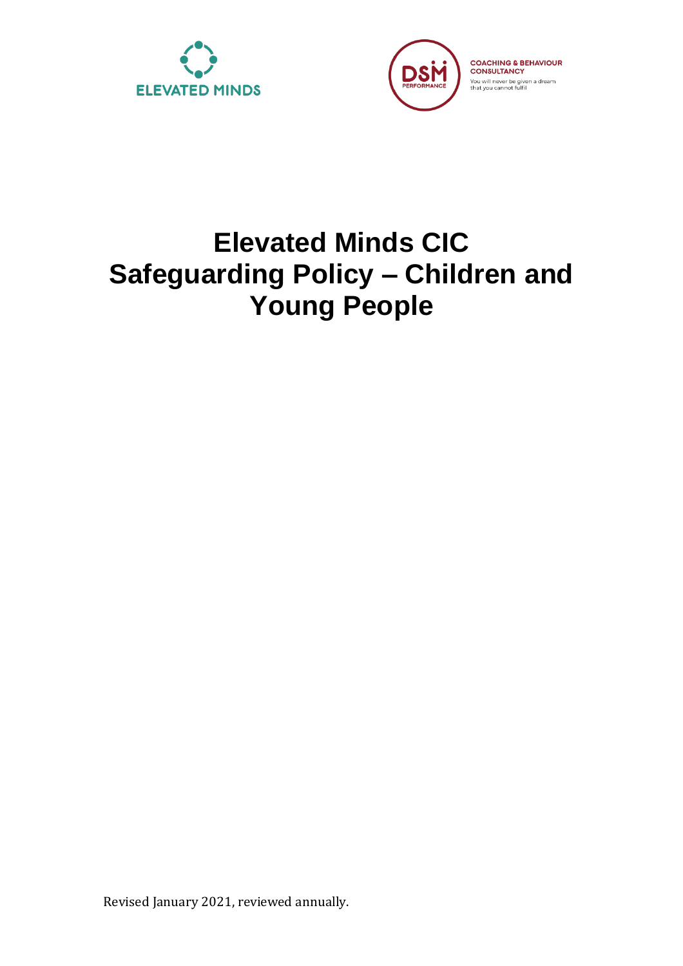



# **Elevated Minds CIC Safeguarding Policy – Children and Young People**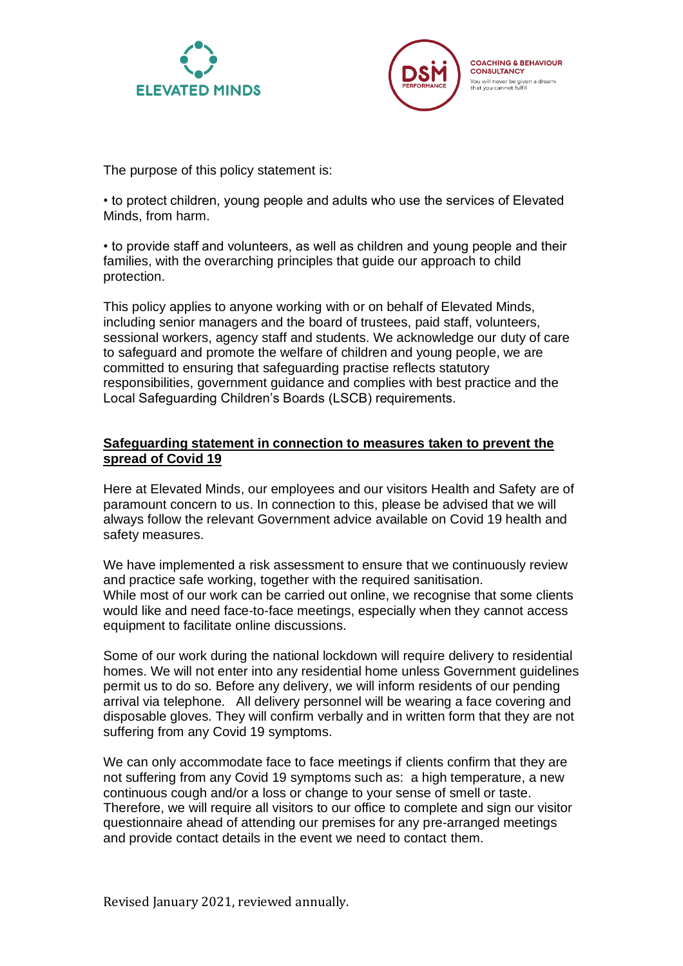



The purpose of this policy statement is:

• to protect children, young people and adults who use the services of Elevated Minds, from harm.

• to provide staff and volunteers, as well as children and young people and their families, with the overarching principles that guide our approach to child protection.

This policy applies to anyone working with or on behalf of Elevated Minds, including senior managers and the board of trustees, paid staff, volunteers, sessional workers, agency staff and students. We acknowledge our duty of care to safeguard and promote the welfare of children and young people, we are committed to ensuring that safeguarding practise reflects statutory responsibilities, government guidance and complies with best practice and the Local Safeguarding Children's Boards (LSCB) requirements.

#### **Safeguarding statement in connection to measures taken to prevent the spread of Covid 19**

Here at Elevated Minds, our employees and our visitors Health and Safety are of paramount concern to us. In connection to this, please be advised that we will always follow the relevant Government advice available on Covid 19 health and safety measures.

We have implemented a risk assessment to ensure that we continuously review and practice safe working, together with the required sanitisation. While most of our work can be carried out online, we recognise that some clients would like and need face-to-face meetings, especially when they cannot access equipment to facilitate online discussions.

Some of our work during the national lockdown will require delivery to residential homes. We will not enter into any residential home unless Government guidelines permit us to do so. Before any delivery, we will inform residents of our pending arrival via telephone. All delivery personnel will be wearing a face covering and disposable gloves. They will confirm verbally and in written form that they are not suffering from any Covid 19 symptoms.

We can only accommodate face to face meetings if clients confirm that they are not suffering from any Covid 19 symptoms such as: a high temperature, a new continuous cough and/or a loss or change to your sense of smell or taste. Therefore, we will require all visitors to our office to complete and sign our visitor questionnaire ahead of attending our premises for any pre-arranged meetings and provide contact details in the event we need to contact them.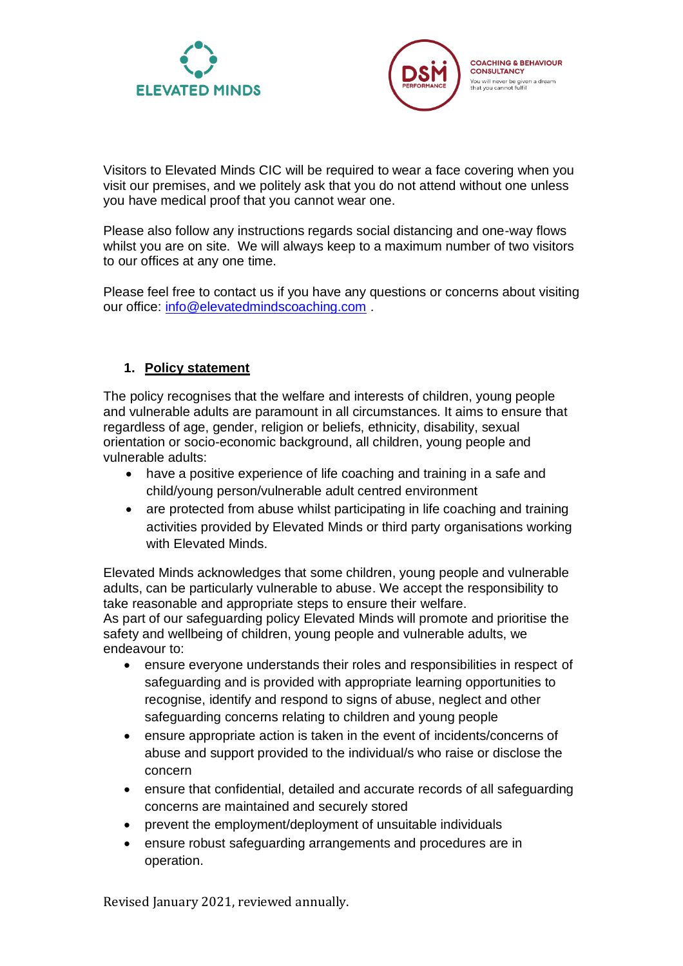



Visitors to Elevated Minds CIC will be required to wear a face covering when you visit our premises, and we politely ask that you do not attend without one unless you have medical proof that you cannot wear one.

Please also follow any instructions regards social distancing and one-way flows whilst you are on site. We will always keep to a maximum number of two visitors to our offices at any one time.

Please feel free to contact us if you have any questions or concerns about visiting our office: [info@elevatedmindscoaching.com](mailto:info@elevatedmindscoaching.com) .

## **1. Policy statement**

The policy recognises that the welfare and interests of children, young people and vulnerable adults are paramount in all circumstances. It aims to ensure that regardless of age, gender, religion or beliefs, ethnicity, disability, sexual orientation or socio-economic background, all children, young people and vulnerable adults:

- have a positive experience of life coaching and training in a safe and child/young person/vulnerable adult centred environment
- are protected from abuse whilst participating in life coaching and training activities provided by Elevated Minds or third party organisations working with Elevated Minds.

Elevated Minds acknowledges that some children, young people and vulnerable adults, can be particularly vulnerable to abuse. We accept the responsibility to take reasonable and appropriate steps to ensure their welfare. As part of our safeguarding policy Elevated Minds will promote and prioritise the safety and wellbeing of children, young people and vulnerable adults, we endeavour to:

- ensure everyone understands their roles and responsibilities in respect of safeguarding and is provided with appropriate learning opportunities to recognise, identify and respond to signs of abuse, neglect and other safeguarding concerns relating to children and young people
- ensure appropriate action is taken in the event of incidents/concerns of abuse and support provided to the individual/s who raise or disclose the concern
- ensure that confidential, detailed and accurate records of all safeguarding concerns are maintained and securely stored
- prevent the employment/deployment of unsuitable individuals
- ensure robust safeguarding arrangements and procedures are in operation.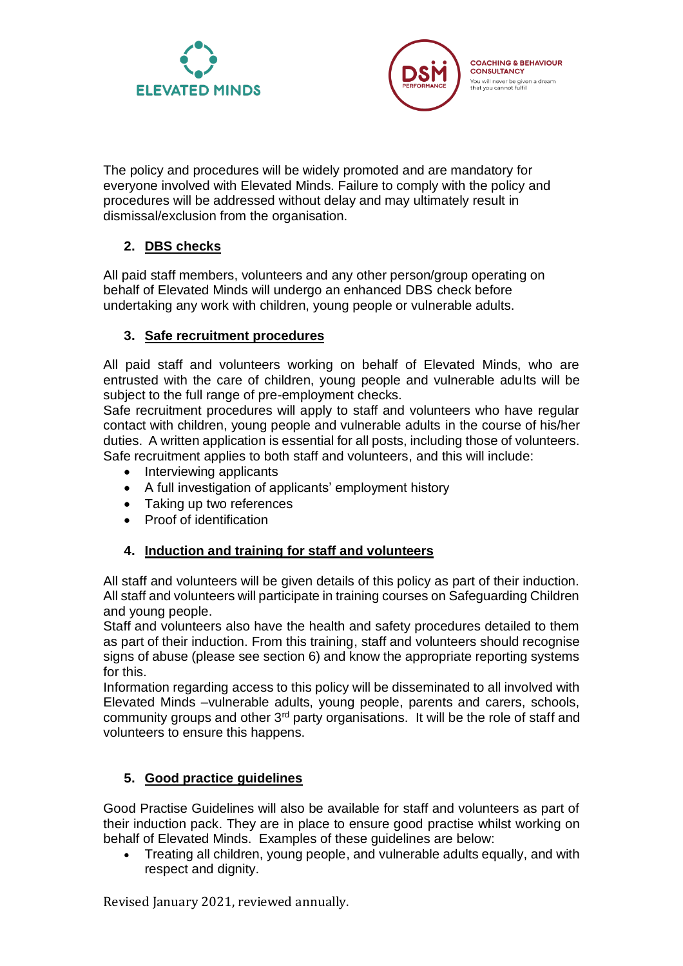



The policy and procedures will be widely promoted and are mandatory for everyone involved with Elevated Minds. Failure to comply with the policy and procedures will be addressed without delay and may ultimately result in dismissal/exclusion from the organisation.

# **2. DBS checks**

All paid staff members, volunteers and any other person/group operating on behalf of Elevated Minds will undergo an enhanced DBS check before undertaking any work with children, young people or vulnerable adults.

## **3. Safe recruitment procedures**

All paid staff and volunteers working on behalf of Elevated Minds, who are entrusted with the care of children, young people and vulnerable adults will be subject to the full range of pre-employment checks.

Safe recruitment procedures will apply to staff and volunteers who have regular contact with children, young people and vulnerable adults in the course of his/her duties. A written application is essential for all posts, including those of volunteers. Safe recruitment applies to both staff and volunteers, and this will include:

- Interviewing applicants
- A full investigation of applicants' employment history
- Taking up two references
- Proof of identification

## **4. Induction and training for staff and volunteers**

All staff and volunteers will be given details of this policy as part of their induction. All staff and volunteers will participate in training courses on Safeguarding Children and young people.

Staff and volunteers also have the health and safety procedures detailed to them as part of their induction. From this training, staff and volunteers should recognise signs of abuse (please see section 6) and know the appropriate reporting systems for this.

Information regarding access to this policy will be disseminated to all involved with Elevated Minds –vulnerable adults, young people, parents and carers, schools, community groups and other 3rd party organisations. It will be the role of staff and volunteers to ensure this happens.

## **5. Good practice guidelines**

Good Practise Guidelines will also be available for staff and volunteers as part of their induction pack. They are in place to ensure good practise whilst working on behalf of Elevated Minds. Examples of these guidelines are below:

• Treating all children, young people, and vulnerable adults equally, and with respect and dignity.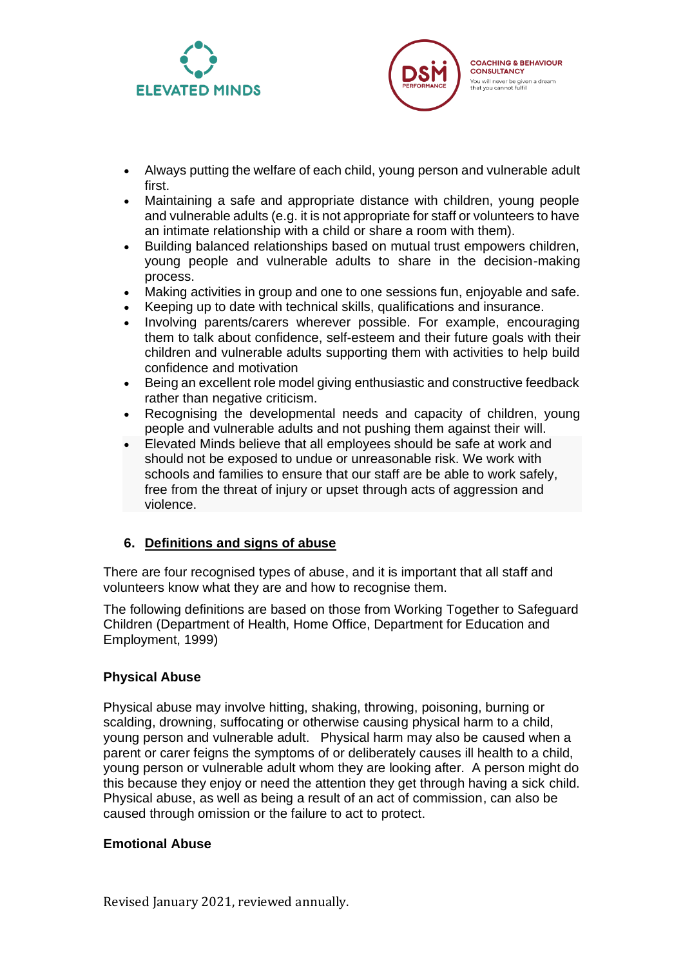



- Always putting the welfare of each child, young person and vulnerable adult first.
- Maintaining a safe and appropriate distance with children, young people and vulnerable adults (e.g. it is not appropriate for staff or volunteers to have an intimate relationship with a child or share a room with them).
- Building balanced relationships based on mutual trust empowers children, young people and vulnerable adults to share in the decision-making process.
- Making activities in group and one to one sessions fun, enjoyable and safe.
- Keeping up to date with technical skills, qualifications and insurance.
- Involving parents/carers wherever possible. For example, encouraging them to talk about confidence, self-esteem and their future goals with their children and vulnerable adults supporting them with activities to help build confidence and motivation
- Being an excellent role model giving enthusiastic and constructive feedback rather than negative criticism.
- Recognising the developmental needs and capacity of children, young people and vulnerable adults and not pushing them against their will.
- Elevated Minds believe that all employees should be safe at work and should not be exposed to undue or unreasonable risk. We work with schools and families to ensure that our staff are be able to work safely, free from the threat of injury or upset through acts of aggression and violence.

## **6. Definitions and signs of abuse**

There are four recognised types of abuse, and it is important that all staff and volunteers know what they are and how to recognise them.

The following definitions are based on those from Working Together to Safeguard Children (Department of Health, Home Office, Department for Education and Employment, 1999)

#### **Physical Abuse**

Physical abuse may involve hitting, shaking, throwing, poisoning, burning or scalding, drowning, suffocating or otherwise causing physical harm to a child, young person and vulnerable adult. Physical harm may also be caused when a parent or carer feigns the symptoms of or deliberately causes ill health to a child, young person or vulnerable adult whom they are looking after. A person might do this because they enjoy or need the attention they get through having a sick child. Physical abuse, as well as being a result of an act of commission, can also be caused through omission or the failure to act to protect.

#### **Emotional Abuse**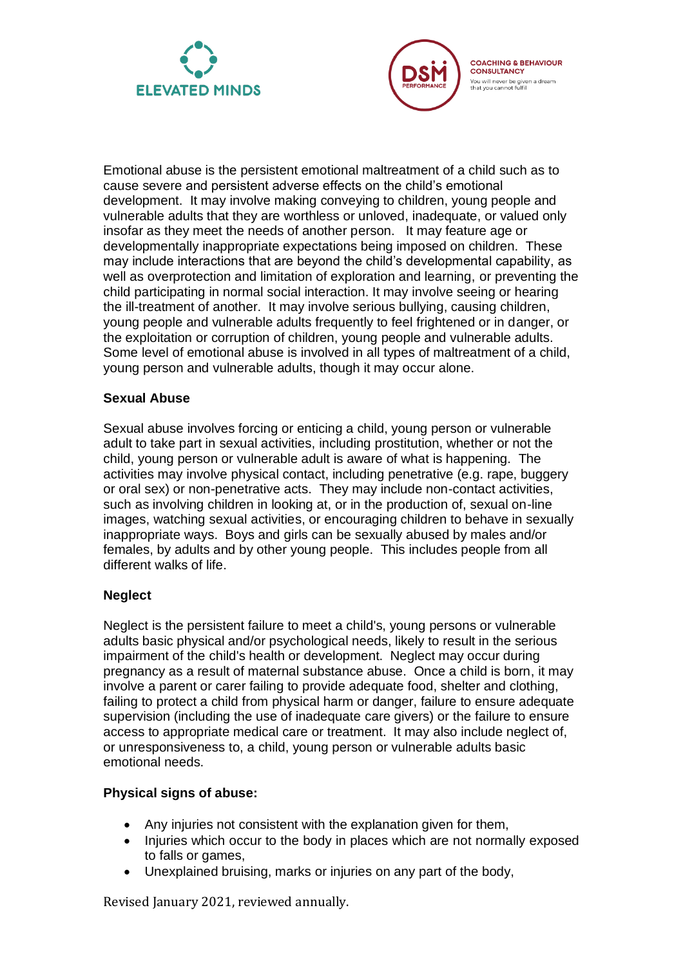



Emotional abuse is the persistent emotional maltreatment of a child such as to cause severe and persistent adverse effects on the child's emotional development. It may involve making conveying to children, young people and vulnerable adults that they are worthless or unloved, inadequate, or valued only insofar as they meet the needs of another person. It may feature age or developmentally inappropriate expectations being imposed on children. These may include interactions that are beyond the child's developmental capability, as well as overprotection and limitation of exploration and learning, or preventing the child participating in normal social interaction. It may involve seeing or hearing the ill-treatment of another. It may involve serious bullying, causing children, young people and vulnerable adults frequently to feel frightened or in danger, or the exploitation or corruption of children, young people and vulnerable adults. Some level of emotional abuse is involved in all types of maltreatment of a child, young person and vulnerable adults, though it may occur alone.

#### **Sexual Abuse**

Sexual abuse involves forcing or enticing a child, young person or vulnerable adult to take part in sexual activities, including prostitution, whether or not the child, young person or vulnerable adult is aware of what is happening. The activities may involve physical contact, including penetrative (e.g. rape, buggery or oral sex) or non-penetrative acts. They may include non-contact activities, such as involving children in looking at, or in the production of, sexual on-line images, watching sexual activities, or encouraging children to behave in sexually inappropriate ways. Boys and girls can be sexually abused by males and/or females, by adults and by other young people. This includes people from all different walks of life.

## **Neglect**

Neglect is the persistent failure to meet a child's, young persons or vulnerable adults basic physical and/or psychological needs, likely to result in the serious impairment of the child's health or development. Neglect may occur during pregnancy as a result of maternal substance abuse. Once a child is born, it may involve a parent or carer failing to provide adequate food, shelter and clothing, failing to protect a child from physical harm or danger, failure to ensure adequate supervision (including the use of inadequate care givers) or the failure to ensure access to appropriate medical care or treatment. It may also include neglect of, or unresponsiveness to, a child, young person or vulnerable adults basic emotional needs.

#### **Physical signs of abuse:**

- Any injuries not consistent with the explanation given for them,
- Injuries which occur to the body in places which are not normally exposed to falls or games,
- Unexplained bruising, marks or injuries on any part of the body,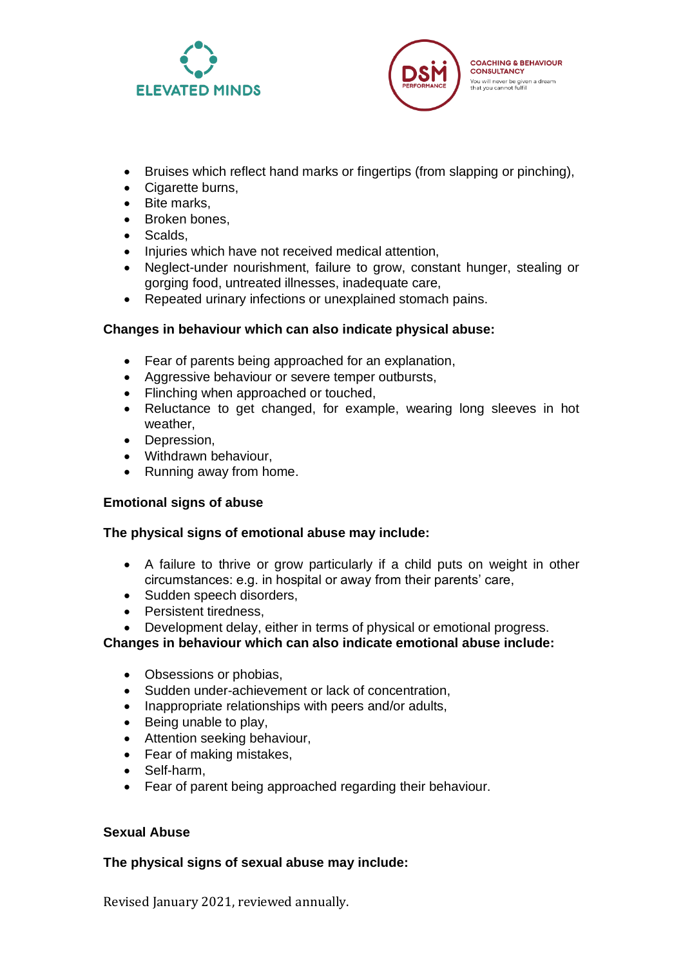



- Bruises which reflect hand marks or fingertips (from slapping or pinching),
- Cigarette burns,
- Bite marks,
- Broken bones,
- Scalds,
- Injuries which have not received medical attention,
- Neglect-under nourishment, failure to grow, constant hunger, stealing or gorging food, untreated illnesses, inadequate care,
- Repeated urinary infections or unexplained stomach pains.

## **Changes in behaviour which can also indicate physical abuse:**

- Fear of parents being approached for an explanation,
- Aggressive behaviour or severe temper outbursts,
- Flinching when approached or touched,
- Reluctance to get changed, for example, wearing long sleeves in hot weather,
- Depression,
- Withdrawn behaviour,
- Running away from home.

## **Emotional signs of abuse**

## **The physical signs of emotional abuse may include:**

- A failure to thrive or grow particularly if a child puts on weight in other circumstances: e.g. in hospital or away from their parents' care,
- Sudden speech disorders,
- Persistent tiredness,
- Development delay, either in terms of physical or emotional progress.

**Changes in behaviour which can also indicate emotional abuse include:**

- Obsessions or phobias,
- Sudden under-achievement or lack of concentration,
- Inappropriate relationships with peers and/or adults,
- Being unable to play,
- Attention seeking behaviour,
- Fear of making mistakes,
- Self-harm,
- Fear of parent being approached regarding their behaviour.

## **Sexual Abuse**

## **The physical signs of sexual abuse may include:**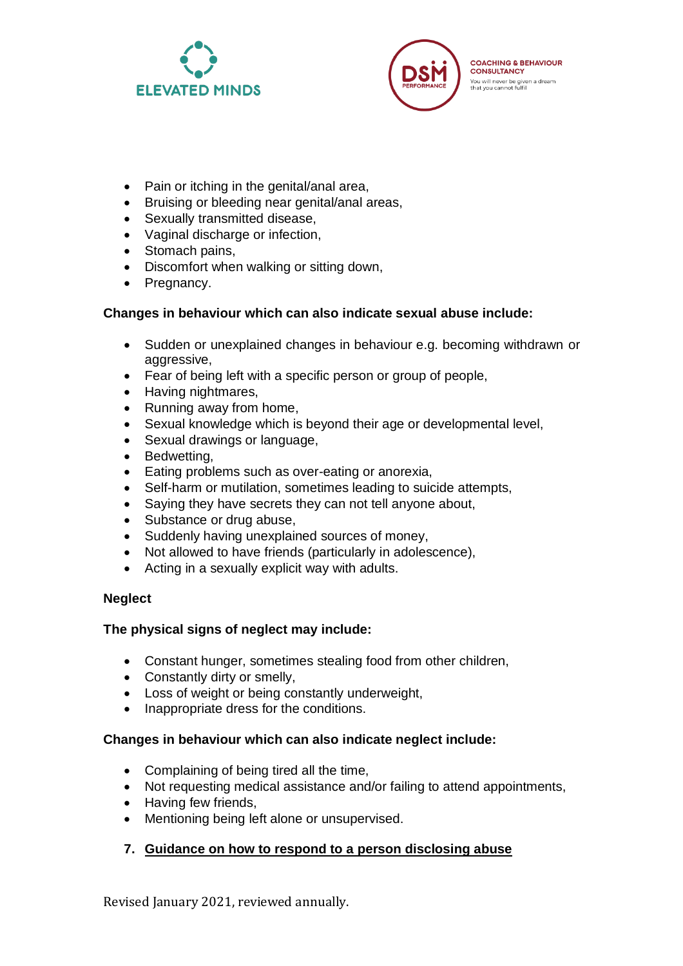



- Pain or itching in the genital/anal area,
- Bruising or bleeding near genital/anal areas,
- Sexually transmitted disease,
- Vaginal discharge or infection,
- Stomach pains,
- Discomfort when walking or sitting down,
- Pregnancy.

# **Changes in behaviour which can also indicate sexual abuse include:**

- Sudden or unexplained changes in behaviour e.g. becoming withdrawn or aggressive.
- Fear of being left with a specific person or group of people,
- Having nightmares,
- Running away from home,
- Sexual knowledge which is beyond their age or developmental level,
- Sexual drawings or language,
- Bedwetting,
- Eating problems such as over-eating or anorexia,
- Self-harm or mutilation, sometimes leading to suicide attempts,
- Saying they have secrets they can not tell anyone about,
- Substance or drug abuse,
- Suddenly having unexplained sources of money,
- Not allowed to have friends (particularly in adolescence),
- Acting in a sexually explicit way with adults.

# **Neglect**

# **The physical signs of neglect may include:**

- Constant hunger, sometimes stealing food from other children,
- Constantly dirty or smelly,
- Loss of weight or being constantly underweight,
- Inappropriate dress for the conditions.

# **Changes in behaviour which can also indicate neglect include:**

- Complaining of being tired all the time,
- Not requesting medical assistance and/or failing to attend appointments,
- Having few friends,
- Mentioning being left alone or unsupervised.

# **7. Guidance on how to respond to a person disclosing abuse**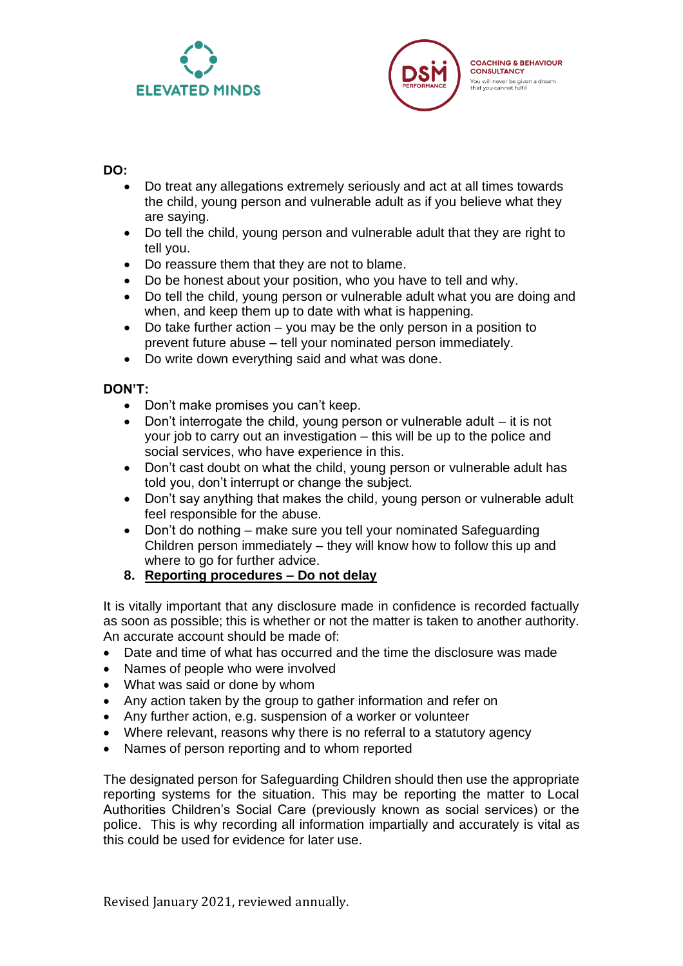



#### **DO:**

- Do treat any allegations extremely seriously and act at all times towards the child, young person and vulnerable adult as if you believe what they are saying.
- Do tell the child, young person and vulnerable adult that they are right to tell you.
- Do reassure them that they are not to blame.
- Do be honest about your position, who you have to tell and why.
- Do tell the child, young person or vulnerable adult what you are doing and when, and keep them up to date with what is happening.
- Do take further action you may be the only person in a position to prevent future abuse – tell your nominated person immediately.
- Do write down everything said and what was done.

## **DON'T:**

- Don't make promises you can't keep.
- Don't interrogate the child, young person or vulnerable adult it is not your job to carry out an investigation – this will be up to the police and social services, who have experience in this.
- Don't cast doubt on what the child, young person or vulnerable adult has told you, don't interrupt or change the subject.
- Don't say anything that makes the child, young person or vulnerable adult feel responsible for the abuse.
- Don't do nothing make sure you tell your nominated Safeguarding Children person immediately – they will know how to follow this up and where to go for further advice.
- **8. Reporting procedures – Do not delay**

It is vitally important that any disclosure made in confidence is recorded factually as soon as possible; this is whether or not the matter is taken to another authority. An accurate account should be made of:

- Date and time of what has occurred and the time the disclosure was made
- Names of people who were involved
- What was said or done by whom
- Any action taken by the group to gather information and refer on
- Any further action, e.g. suspension of a worker or volunteer
- Where relevant, reasons why there is no referral to a statutory agency
- Names of person reporting and to whom reported

The designated person for Safeguarding Children should then use the appropriate reporting systems for the situation. This may be reporting the matter to Local Authorities Children's Social Care (previously known as social services) or the police. This is why recording all information impartially and accurately is vital as this could be used for evidence for later use.